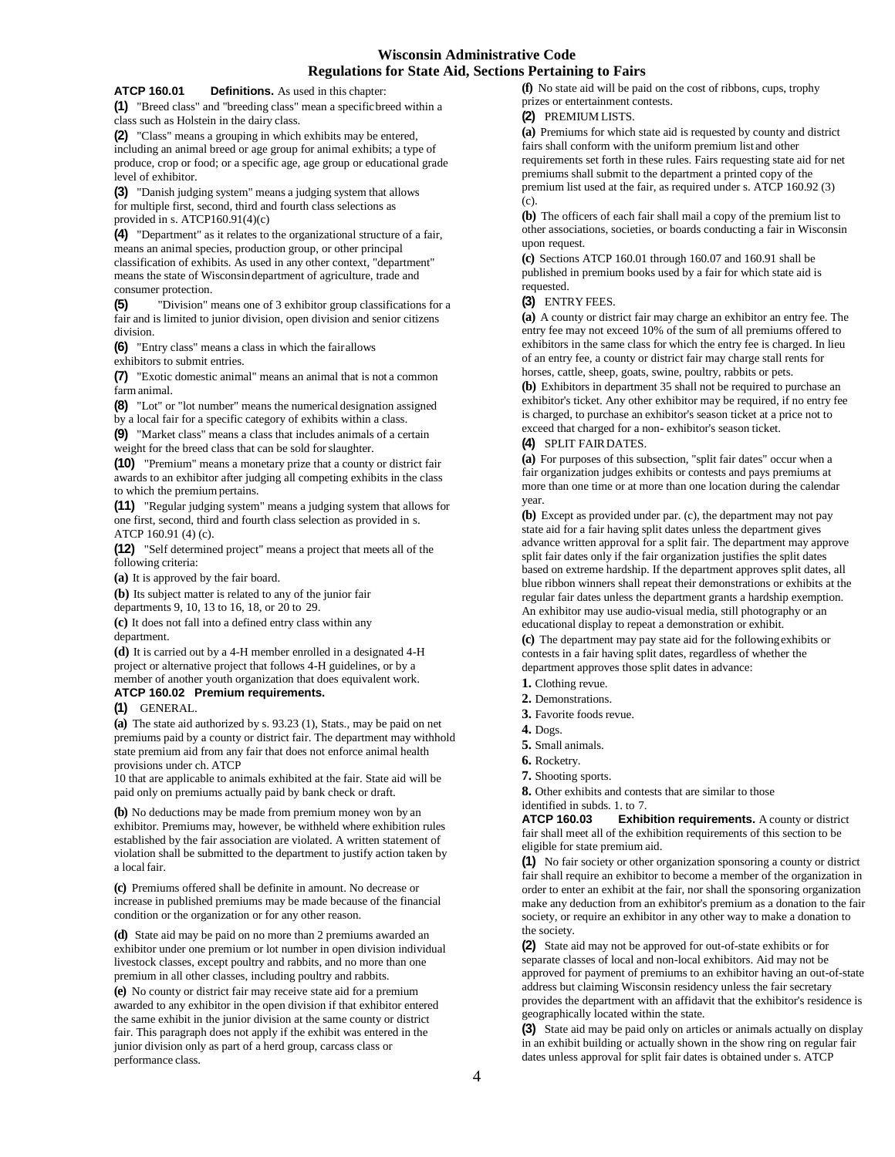## **Wisconsin Administrative Code Regulations for State Aid, Sections Pertaining to Fairs**

#### **ATCP 160.01 Definitions.** As used in this chapter:

**(1)** "Breed class" and "breeding class" mean a specificbreed within a class such as Holstein in the dairy class.

**(2)** "Class" means a grouping in which exhibits may be entered, including an animal breed or age group for animal exhibits; a type of produce, crop or food; or a specific age, age group or educational grade level of exhibitor.

**(3)** "Danish judging system" means a judging system that allows for multiple first, second, third and fourth class selections as provided in s. ATCP160.91(4)(c)

**(4)** "Department" as it relates to the organizational structure of a fair, means an animal species, production group, or other principal classification of exhibits. As used in any other context, "department" means the state of Wisconsindepartment of agriculture, trade and consumer protection.

**(5)** "Division" means one of 3 exhibitor group classifications for a fair and is limited to junior division, open division and senior citizens division.

**(6)** "Entry class" means a class in which the fairallows exhibitors to submit entries.

**(7)** "Exotic domestic animal" means an animal that is not a common farm animal.

**(8)** "Lot" or "lot number" means the numerical designation assigned by a local fair for a specific category of exhibits within a class.

**(9)** "Market class" means a class that includes animals of a certain weight for the breed class that can be sold forslaughter.

**(10)** "Premium" means a monetary prize that a county or district fair awards to an exhibitor after judging all competing exhibits in the class to which the premium pertains.

**(11)** "Regular judging system" means a judging system that allows for one first, second, third and fourth class selection as provided in s. [ATCP 160.91 \(4\) \(c\).](https://docs.legis.wisconsin.gov/document/administrativecode/ATCP%20160.91(4)(c))

**(12)** "Self determined project" means a project that meets all of the following criteria:

**(a)** It is approved by the fair board.

**(b)** Its subject matter is related to any of the junior fair departments 9, 10, 13 to 16, 18, or 20 to 29.

**(c)** It does not fall into a defined entry class within any department.

**(d)** It is carried out by a 4-H member enrolled in a designated 4-H project or alternative project that follows 4-H guidelines, or by a member of another youth organization that does equivalent work.

# **ATCP 160.02 Premium requirements.**

**(1)** GENERAL.

**(a)** The state aid authorized by s. 93.23 (1), Stats., may be paid on net premiums paid by a county or district fair. The department may withhold state premium aid from any fair that does not enforce animal health provisions under ch. ATCP

10 that are applicable to animals exhibited at the fair. State aid will be paid only on premiums actually paid by bank check or draft.

**(b)** No deductions may be made from premium money won by an exhibitor. Premiums may, however, be withheld where exhibition rules established by the fair association are violated. A written statement of violation shall be submitted to the department to justify action taken by a local fair.

**(c)** Premiums offered shall be definite in amount. No decrease or increase in published premiums may be made because of the financial condition or the organization or for any other reason.

**(d)** State aid may be paid on no more than 2 premiums awarded an exhibitor under one premium or lot number in open division individual livestock classes, except poultry and rabbits, and no more than one premium in all other classes, including poultry and rabbits.

**(e)** No county or district fair may receive state aid for a premium awarded to any exhibitor in the open division if that exhibitor entered the same exhibit in the junior division at the same county or district fair. This paragraph does not apply if the exhibit was entered in the junior division only as part of a herd group, carcass class or performance class.

**(f)** No state aid will be paid on the cost of ribbons, cups, trophy prizes or entertainment contests.

### **(2)** PREMIUM LISTS.

**(a)** Premiums for which state aid is requested by county and district fairs shall conform with the uniform premium list and other requirements set forth in these rules. Fairs requesting state aid for net premiums shall submit to the department a printed copy of the premium list used at the fair, as required under s. ATCP 160.92 (3) (c).

**(b)** The officers of each fair shall mail a copy of the premium list to other associations, societies, or boards conducting a fair in Wisconsin upon request.

**(c)** Sections ATCP 160.01 through 160.07 and 160.91 shall be published in premium books used by a fair for which state aid is requested.

#### **(3)** ENTRY FEES.

**(a)** A county or district fair may charge an exhibitor an entry fee. The entry fee may not exceed 10% of the sum of all premiums offered to exhibitors in the same class for which the entry fee is charged. In lieu of an entry fee, a county or district fair may charge stall rents for horses, cattle, sheep, goats, swine, poultry, rabbits or pets.

**(b)** Exhibitors in department 35 shall not be required to purchase an exhibitor's ticket. Any other exhibitor may be required, if no entry fee is charged, to purchase an exhibitor's season ticket at a price not to exceed that charged for a non- exhibitor's season ticket.

#### **(4)** SPLIT FAIRDATES.

**(a)** For purposes of this subsection, "split fair dates" occur when a fair organization judges exhibits or contests and pays premiums at more than one time or at more than one location during the calendar year.

**(b)** Except as provided under par. (c), the department may not pay state aid for a fair having split dates unless the department gives advance written approval for a split fair. The department may approve split fair dates only if the fair organization justifies the split dates based on extreme hardship. If the department approves split dates, all blue ribbon winners shall repeat their demonstrations or exhibits at the regular fair dates unless the department grants a hardship exemption. An exhibitor may use audio-visual media, still photography or an educational display to repeat a demonstration or exhibit.

**(c)** The department may pay state aid for the followingexhibits or contests in a fair having split dates, regardless of whether the department approves those split dates in advance:

- **1.** Clothing revue.
- **2.** Demonstrations.
- **3.** Favorite foods revue.
- **4.** Dogs.
- **5.** Small animals.
- **6.** Rocketry.
- **7.** Shooting sports.

**8.** Other exhibits and contests that are similar to those identified in subds. 1. to 7.<br> $\textbf{ATCP } 160.03$  Exhibit

**Exhibition requirements.** A county or district fair shall meet all of the exhibition requirements of this section to be eligible for state premium aid.

**(1)** No fair society or other organization sponsoring a county or district fair shall require an exhibitor to become a member of the organization in order to enter an exhibit at the fair, nor shall the sponsoring organization make any deduction from an exhibitor's premium as a donation to the fair society, or require an exhibitor in any other way to make a donation to the society.

**(2)** State aid may not be approved for out-of-state exhibits or for separate classes of local and non-local exhibitors. Aid may not be approved for payment of premiums to an exhibitor having an out-of-state address but claiming Wisconsin residency unless the fair secretary provides the department with an affidavit that the exhibitor's residence is geographically located within the state.

**(3)** State aid may be paid only on articles or animals actually on display in an exhibit building or actually shown in the show ring on regular fair dates unless approval for split fair dates is obtained under s. ATCP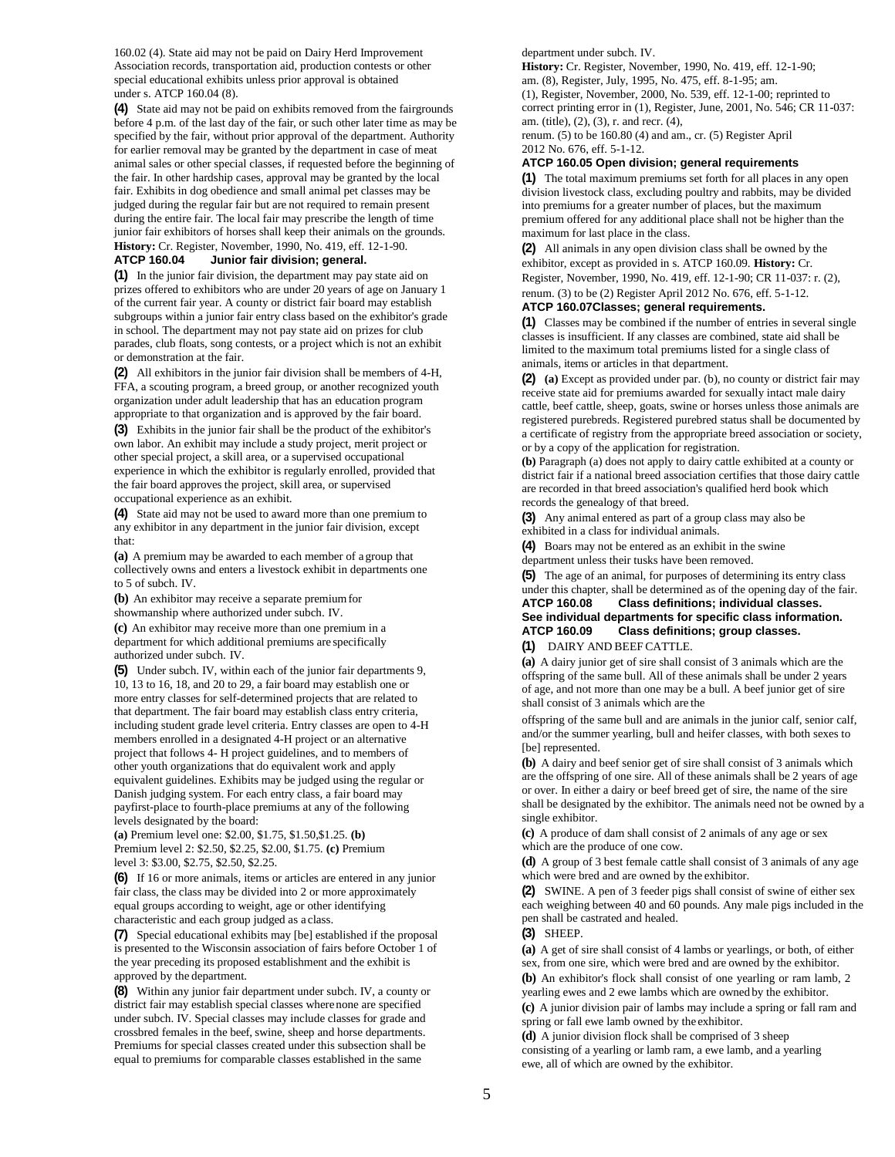160.02 (4). State aid may not be paid on Dairy Herd Improvement Association records, transportation aid, production contests or other special educational exhibits unless prior approval is obtained under s. ATCP 160.04 (8).

**(4)** State aid may not be paid on exhibits removed from the fairgrounds before 4 p.m. of the last day of the fair, or such other later time as may be specified by the fair, without prior approval of the department. Authority for earlier removal may be granted by the department in case of meat animal sales or other special classes, if requested before the beginning of the fair. In other hardship cases, approval may be granted by the local fair. Exhibits in dog obedience and small animal pet classes may be judged during the regular fair but are not required to remain present during the entire fair. The local fair may prescribe the length of time junior fair exhibitors of horses shall keep their animals on the grounds. **History:** Cr. Register, November, 1990, No. 419, eff. 12-1-90.

### **ATCP 160.04 Junior fair division; general.**

**(1)** In the junior fair division, the department may pay state aid on prizes offered to exhibitors who are under 20 years of age on January 1 of the current fair year. A county or district fair board may establish subgroups within a junior fair entry class based on the exhibitor's grade in school. The department may not pay state aid on prizes for club parades, club floats, song contests, or a project which is not an exhibit or demonstration at the fair.

**(2)** All exhibitors in the junior fair division shall be members of 4-H, FFA, a scouting program, a breed group, or another recognized youth organization under adult leadership that has an education program appropriate to that organization and is approved by the fair board.

**(3)** Exhibits in the junior fair shall be the product of the exhibitor's own labor. An exhibit may include a study project, merit project or other special project, a skill area, or a supervised occupational experience in which the exhibitor is regularly enrolled, provided that the fair board approves the project, skill area, or supervised occupational experience as an exhibit.

**(4)** State aid may not be used to award more than one premium to any exhibitor in any department in the junior fair division, except that:

**(a)** A premium may be awarded to each member of a group that collectively owns and enters a livestock exhibit in departments one to 5 of subch. IV.

**(b)** An exhibitor may receive a separate premiumfor showmanship where authorized under subch. IV.

**(c)** An exhibitor may receive more than one premium in a department for which additional premiums are specifically authorized under subch. IV.

**(5)** Under subch. IV, within each of the junior fair departments 9, 10, 13 to 16, 18, and 20 to 29, a fair board may establish one or more entry classes for self-determined projects that are related to that department. The fair board may establish class entry criteria, including student grade level criteria. Entry classes are open to 4-H members enrolled in a designated 4-H project or an alternative project that follows 4- H project guidelines, and to members of other youth organizations that do equivalent work and apply equivalent guidelines. Exhibits may be judged using the regular or Danish judging system. For each entry class, a fair board may payfirst-place to fourth-place premiums at any of the following levels designated by the board:

**(a)** Premium level one: \$2.00, \$1.75, \$1.50,\$1.25. **(b)**  Premium level 2: \$2.50, \$2.25, \$2.00, \$1.75. **(c)** Premium level 3: \$3.00, \$2.75, \$2.50, \$2.25.

**(6)** If 16 or more animals, items or articles are entered in any junior fair class, the class may be divided into 2 or more approximately equal groups according to weight, age or other identifying characteristic and each group judged as a class.

**(7)** Special educational exhibits may [be] established if the proposal is presented to the Wisconsin association of fairs before October 1 of the year preceding its proposed establishment and the exhibit is approved by the department.

**(8)** Within any junior fair department under subch. IV, a county or district fair may establish special classes wherenone are specified under subch. IV. Special classes may include classes for grade and crossbred females in the beef, swine, sheep and horse departments. Premiums for special classes created under this subsection shall be equal to premiums for comparable classes established in the same

department under subch. IV.

**History:** Cr. Register, November, 1990, No. 419, eff. 12-1-90; am. (8), Register, July, 1995, No. 475, eff. 8-1-95; am.

(1), Register, November, 2000, No. 539, eff. 12-1-00; reprinted to correct printing error in (1), Register, June, 2001, No. 546; CR 11-037: am. (title), (2), (3), r. and recr. (4),

renum. (5) to be 160.80 (4) and am., cr. (5) Register April 2012 No. 676, eff. 5-1-12.

#### **ATCP 160.05 Open division; general requirements**

**(1)** The total maximum premiums set forth for all places in any open division livestock class, excluding poultry and rabbits, may be divided into premiums for a greater number of places, but the maximum premium offered for any additional place shall not be higher than the maximum for last place in the class.

**(2)** All animals in any open division class shall be owned by the exhibitor, except as provided in s. ATCP 160.09. **History:** Cr. Register, November, 1990, No. 419, eff. 12-1-90; CR 11-037: r. (2), renum. (3) to be (2) Register April 2012 No. 676, eff. 5-1-12.

# **ATCP 160.07Classes; general requirements.**

**(1)** Classes may be combined if the number of entries in several single classes is insufficient. If any classes are combined, state aid shall be limited to the maximum total premiums listed for a single class of animals, items or articles in that department.

**(2) (a)** Except as provided under par. (b), no county or district fair may receive state aid for premiums awarded for sexually intact male dairy cattle, beef cattle, sheep, goats, swine or horses unless those animals are registered purebreds. Registered purebred status shall be documented by a certificate of registry from the appropriate breed association or society, or by a copy of the application for registration.

**(b)** Paragraph (a) does not apply to dairy cattle exhibited at a county or district fair if a national breed association certifies that those dairy cattle are recorded in that breed association's qualified herd book which records the genealogy of that breed.

**(3)** Any animal entered as part of a group class may also be exhibited in a class for individual animals.

**(4)** Boars may not be entered as an exhibit in the swine

department unless their tusks have been removed.

**(5)** The age of an animal, for purposes of determining its entry class under this chapter, shall be determined as of the opening day of the fair.

**ATCP 160.08 Class definitions; individual classes. See individual departments for specific class information. ATCP 160.09 Class definitions; group classes.**

#### **(1)** DAIRY AND BEEFCATTLE.

**(a)** A dairy junior get of sire shall consist of 3 animals which are the offspring of the same bull. All of these animals shall be under 2 years of age, and not more than one may be a bull. A beef junior get of sire shall consist of 3 animals which are the

offspring of the same bull and are animals in the junior calf, senior calf, and/or the summer yearling, bull and heifer classes, with both sexes to [be] represented.

**(b)** A dairy and beef senior get of sire shall consist of 3 animals which are the offspring of one sire. All of these animals shall be 2 years of age or over. In either a dairy or beef breed get of sire, the name of the sire shall be designated by the exhibitor. The animals need not be owned by a single exhibitor.

**(c)** A produce of dam shall consist of 2 animals of any age or sex which are the produce of one cow.

**(d)** A group of 3 best female cattle shall consist of 3 animals of any age which were bred and are owned by the exhibitor.

**(2)** SWINE. A pen of 3 feeder pigs shall consist of swine of either sex each weighing between 40 and 60 pounds. Any male pigs included in the pen shall be castrated and healed.

**(3)** SHEEP.

**(a)** A get of sire shall consist of 4 lambs or yearlings, or both, of either sex, from one sire, which were bred and are owned by the exhibitor. **(b)** An exhibitor's flock shall consist of one yearling or ram lamb, 2

yearling ewes and 2 ewe lambs which are owned by the exhibitor.

**(c)** A junior division pair of lambs may include a spring or fall ram and spring or fall ewe lamb owned by the exhibitor.

**(d)** A junior division flock shall be comprised of 3 sheep consisting of a yearling or lamb ram, a ewe lamb, and a yearling ewe, all of which are owned by the exhibitor.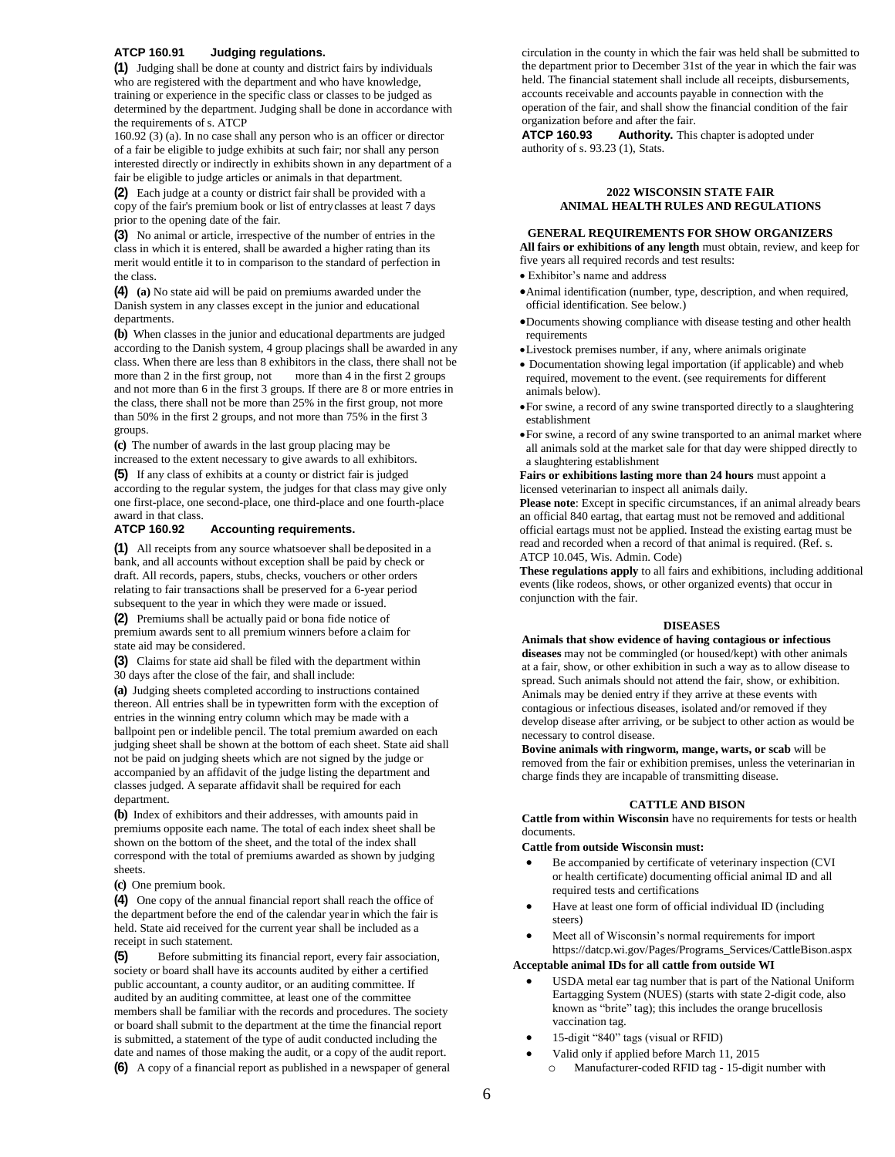#### **ATCP 160.91 Judging regulations.**

**(1)** Judging shall be done at county and district fairs by individuals who are registered with the department and who have knowledge, training or experience in the specific class or classes to be judged as determined by the department. Judging shall be done in accordance with the requirements of s. ATCP

160.92 (3) (a). In no case shall any person who is an officer or director of a fair be eligible to judge exhibits at such fair; nor shall any person interested directly or indirectly in exhibits shown in any department of a fair be eligible to judge articles or animals in that department.

**(2)** Each judge at a county or district fair shall be provided with a copy of the fair's premium book or list of entryclasses at least 7 days prior to the opening date of the fair.

**(3)** No animal or article, irrespective of the number of entries in the class in which it is entered, shall be awarded a higher rating than its merit would entitle it to in comparison to the standard of perfection in the class.

**(4) (a)** No state aid will be paid on premiums awarded under the Danish system in any classes except in the junior and educational departments.

**(b)** When classes in the junior and educational departments are judged according to the Danish system, 4 group placings shall be awarded in any class. When there are less than 8 exhibitors in the class, there shall not be more than 2 in the first group, not more than 4 in the first 2 groups and not more than 6 in the first 3 groups. If there are 8 or more entries in the class, there shall not be more than 25% in the first group, not more than 50% in the first 2 groups, and not more than 75% in the first 3 groups.

**(c)** The number of awards in the last group placing may be increased to the extent necessary to give awards to all exhibitors.

**(5)** If any class of exhibits at a county or district fair is judged according to the regular system, the judges for that class may give only one first-place, one second-place, one third-place and one fourth-place award in that class.<br>ATCP 160.92

### **Accounting requirements.**

**(1)** All receipts from any source whatsoever shall bedeposited in a bank, and all accounts without exception shall be paid by check or draft. All records, papers, stubs, checks, vouchers or other orders relating to fair transactions shall be preserved for a 6-year period subsequent to the year in which they were made or issued.

**(2)** Premiums shall be actually paid or bona fide notice of premium awards sent to all premium winners before a claim for state aid may be considered.

**(3)** Claims for state aid shall be filed with the department within 30 days after the close of the fair, and shall include:

**(a)** Judging sheets completed according to instructions contained thereon. All entries shall be in typewritten form with the exception of entries in the winning entry column which may be made with a ballpoint pen or indelible pencil. The total premium awarded on each judging sheet shall be shown at the bottom of each sheet. State aid shall not be paid on judging sheets which are not signed by the judge or accompanied by an affidavit of the judge listing the department and classes judged. A separate affidavit shall be required for each department.

**(b)** Index of exhibitors and their addresses, with amounts paid in premiums opposite each name. The total of each index sheet shall be shown on the bottom of the sheet, and the total of the index shall correspond with the total of premiums awarded as shown by judging sheets.

**(c)** One premium book.

**(4)** One copy of the annual financial report shall reach the office of the department before the end of the calendar yearin which the fair is held. State aid received for the current year shall be included as a receipt in such statement.

**(5)** Before submitting its financial report, every fair association, society or board shall have its accounts audited by either a certified public accountant, a county auditor, or an auditing committee. If audited by an auditing committee, at least one of the committee members shall be familiar with the records and procedures. The society or board shall submit to the department at the time the financial report is submitted, a statement of the type of audit conducted including the date and names of those making the audit, or a copy of the audit report.

**(6)** A copy of a financial report as published in a newspaper of general

circulation in the county in which the fair was held shall be submitted to the department prior to December 31st of the year in which the fair was held. The financial statement shall include all receipts, disbursements, accounts receivable and accounts payable in connection with the operation of the fair, and shall show the financial condition of the fair

organization before and after the fair.<br>**ATCP 160.93 Authority.** This **Authority.** This chapter is adopted under authority of s. 93.23 (1), Stats.

#### **2022 WISCONSIN STATE FAIR ANIMAL HEALTH RULES AND REGULATIONS**

#### **GENERAL REQUIREMENTS FOR SHOW ORGANIZERS**

**All fairs or exhibitions of any length** must obtain, review, and keep for five years all required records and test results:

- Exhibitor's name and address
- Animal identification (number, type, description, and when required, official identification. See below.)
- Documents showing compliance with disease testing and other health requirements
- Livestock premises number, if any, where animals originate
- Documentation showing legal importation (if applicable) and wheb required, movement to the event. (see requirements for different animals below).
- For swine, a record of any swine transported directly to a slaughtering establishment
- For swine, a record of any swine transported to an animal market where all animals sold at the market sale for that day were shipped directly to a slaughtering establishment

**Fairs or exhibitions lasting more than 24 hours** must appoint a licensed veterinarian to inspect all animals daily.

**Please note**: Except in specific circumstances, if an animal already bears an official 840 eartag, that eartag must not be removed and additional official eartags must not be applied. Instead the existing eartag must be read and recorded when a record of that animal is required. (Ref. s. ATCP 10.045, Wis. Admin. Code)

**These regulations apply** to all fairs and exhibitions, including additional events (like rodeos, shows, or other organized events) that occur in conjunction with the fair.

#### **DISEASES**

**Animals that show evidence of having contagious or infectious diseases** may not be commingled (or housed/kept) with other animals at a fair, show, or other exhibition in such a way as to allow disease to spread. Such animals should not attend the fair, show, or exhibition. Animals may be denied entry if they arrive at these events with contagious or infectious diseases, isolated and/or removed if they develop disease after arriving, or be subject to other action as would be necessary to control disease.

**Bovine animals with ringworm, mange, warts, or scab** will be removed from the fair or exhibition premises, unless the veterinarian in charge finds they are incapable of transmitting disease.

#### **CATTLE AND BISON**

**Cattle from within Wisconsin** have no requirements for tests or health documents.

#### **Cattle from outside Wisconsin must:**

- Be accompanied by certificate of veterinary inspection (CVI or health certificate) documenting official animal ID and all required tests and certifications
- Have at least one form of official individual ID (including steers)
- Meet all of Wisconsin's normal requirements for import https://datcp.wi.gov/Pages/Programs\_Services/CattleBison.aspx

#### **Acceptable animal IDs for all cattle from outside WI**

- USDA metal ear tag number that is part of the National Uniform Eartagging System (NUES) (starts with state 2-digit code, also known as "brite" tag); this includes the orange brucellosis vaccination tag.
- 15-digit "840" tags (visual or RFID)
- Valid only if applied before March 11, 2015
	- o Manufacturer-coded RFID tag 15-digit number with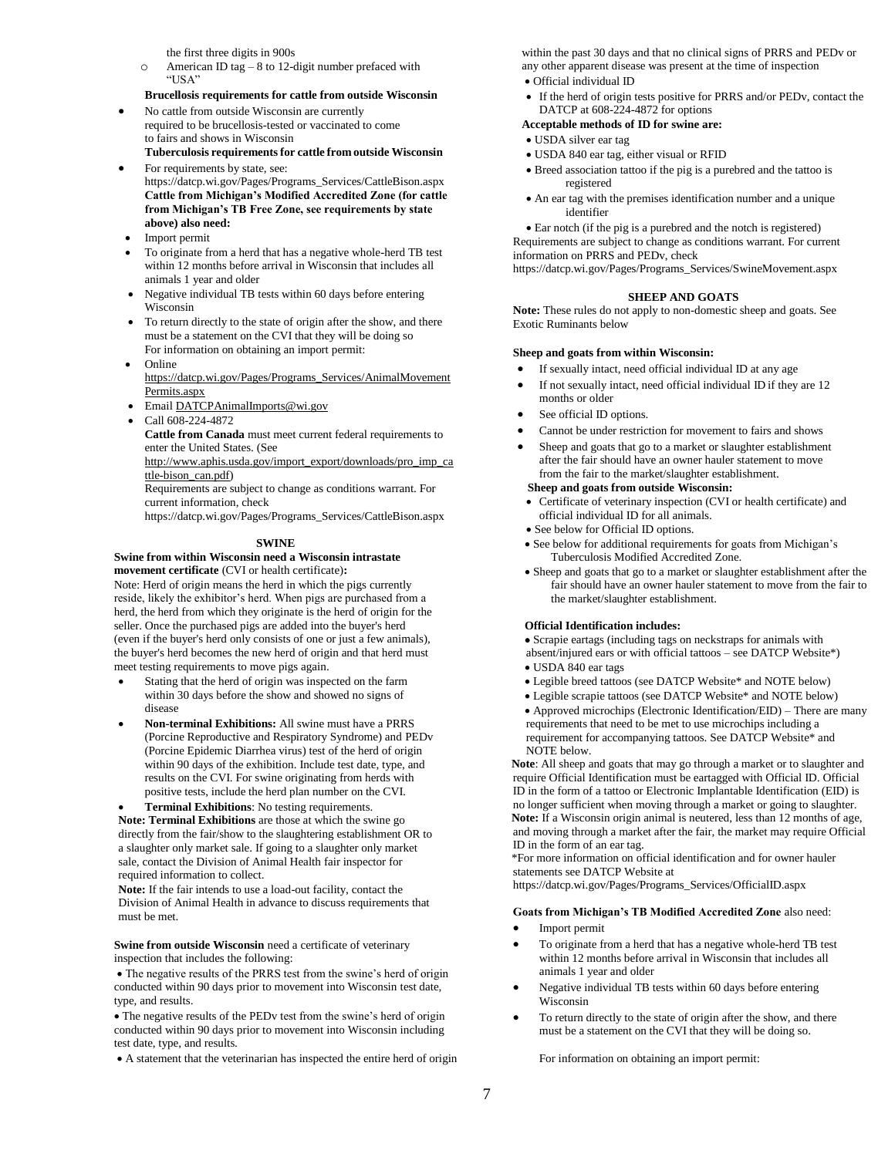the first three digits in 900s

- o American ID tag 8 to 12-digit number prefaced with "USA"
- **Brucellosis requirements for cattle from outside Wisconsin**
- No cattle from outside Wisconsin are currently required to be brucellosis-tested or vaccinated to come to fairs and shows in Wisconsin **Tuberculosis requirements for cattle from outside Wisconsin**
- For requirements by state, see: https://datcp.wi.gov/Pages/Programs\_Services/CattleBison.aspx **Cattle from Michigan's Modified Accredited Zone (for cattle from Michigan's TB Free Zone, see requirements by state above) also need:**
- Import permit
- To originate from a herd that has a negative whole-herd TB test within 12 months before arrival in Wisconsin that includes all animals 1 year and older
- Negative individual TB tests within 60 days before entering Wisconsin
- To return directly to the state of origin after the show, and there must be a statement on the CVI that they will be doing so For information on obtaining an import permit:
- Online [https://datcp.wi.gov/Pages/Programs\\_Services/AnimalMovement](https://datcp.wi.gov/Pages/Programs_Services/AnimalMovementPermits.aspx) [Permits.aspx](https://datcp.wi.gov/Pages/Programs_Services/AnimalMovementPermits.aspx)
- Emai[l DATCPAnimalImports@wi.gov](mailto:DATCPAnimalImports@wi.gov)
- Call 608-224-4872

**Cattle from Canada** must meet current federal requirements to enter the United States. (See

[http://www.aphis.usda.gov/import\\_export/downloads/pro\\_imp\\_ca](http://www.aphis.usda.gov/import_export/downloads/pro_imp_cattle-bison_can.pdf) [ttle-bison\\_can.pdf\)](http://www.aphis.usda.gov/import_export/downloads/pro_imp_cattle-bison_can.pdf)

Requirements are subject to change as conditions warrant. For current information, check

https://datcp.wi.gov/Pages/Programs\_Services/CattleBison.aspx

#### **SWINE**

#### **Swine from within Wisconsin need a Wisconsin intrastate movement certificate** (CVI or health certificate)**:**

Note: Herd of origin means the herd in which the pigs currently reside, likely the exhibitor's herd. When pigs are purchased from a herd, the herd from which they originate is the herd of origin for the seller. Once the purchased pigs are added into the buyer's herd (even if the buyer's herd only consists of one or just a few animals), the buyer's herd becomes the new herd of origin and that herd must meet testing requirements to move pigs again.

- Stating that the herd of origin was inspected on the farm within 30 days before the show and showed no signs of disease
- **Non-terminal Exhibitions:** All swine must have a PRRS (Porcine Reproductive and Respiratory Syndrome) and PEDv (Porcine Epidemic Diarrhea virus) test of the herd of origin within 90 days of the exhibition. Include test date, type, and results on the CVI. For swine originating from herds with positive tests, include the herd plan number on the CVI.
- 

**Note: Terminal Exhibitions** are those at which the swine go directly from the fair/show to the slaughtering establishment OR to a slaughter only market sale. If going to a slaughter only market sale, contact the Division of Animal Health fair inspector for required information to collect.

**Note:** If the fair intends to use a load-out facility, contact the Division of Animal Health in advance to discuss requirements that must be met.

**Swine from outside Wisconsin** need a certificate of veterinary inspection that includes the following:

 The negative results of the PRRS test from the swine's herd of origin conducted within 90 days prior to movement into Wisconsin test date, type, and results.

 The negative results of the PEDv test from the swine's herd of origin conducted within 90 days prior to movement into Wisconsin including test date, type, and results.

A statement that the veterinarian has inspected the entire herd of origin

within the past 30 days and that no clinical signs of PRRS and PEDv or any other apparent disease was present at the time of inspection

- Official individual ID
- If the herd of origin tests positive for PRRS and/or PEDv, contact the DATCP at 608-224-4872 for options

#### **Acceptable methods of ID for swine are:**

- USDA silver ear tag
- USDA 840 ear tag, either visual or RFID
- Breed association tattoo if the pig is a purebred and the tattoo is registered
- An ear tag with the premises identification number and a unique identifier

 Ear notch (if the pig is a purebred and the notch is registered) Requirements are subject to change as conditions warrant. For current

information on PRRS and PEDv, check

https://datcp.wi.gov/Pages/Programs\_Services/SwineMovement.aspx

#### **SHEEP AND GOATS**

**Note:** These rules do not apply to non-domestic sheep and goats. See Exotic Ruminants below

#### **Sheep and goats from within Wisconsin:**

- If sexually intact, need official individual ID at any age
- If not sexually intact, need official individual ID if they are 12 months or older
- See official ID options.
- Cannot be under restriction for movement to fairs and shows
- Sheep and goats that go to a market or slaughter establishment after the fair should have an owner hauler statement to move from the fair to the market/slaughter establishment.

#### **Sheep and goats from outside Wisconsin:**

- Certificate of veterinary inspection (CVI or health certificate) and official individual ID for all animals.
- See below for Official ID options.
- See below for additional requirements for goats from Michigan's Tuberculosis Modified Accredited Zone.
- Sheep and goats that go to a market or slaughter establishment after the fair should have an owner hauler statement to move from the fair to the market/slaughter establishment.

#### **Official Identification includes:**

Scrapie eartags (including tags on neckstraps for animals with

- absent/injured ears or with official tattoos see DATCP Website\*)
- USDA 840 ear tags
- Legible breed tattoos (see DATCP Website\* and NOTE below)
- Legible scrapie tattoos (see DATCP Website\* and NOTE below)
- Approved microchips (Electronic Identification/EID) There are many requirements that need to be met to use microchips including a requirement for accompanying tattoos. See DATCP Website\* and NOTE below.

**Note**: All sheep and goats that may go through a market or to slaughter and require Official Identification must be eartagged with Official ID. Official ID in the form of a tattoo or Electronic Implantable Identification (EID) is no longer sufficient when moving through a market or going to slaughter. **Note:** If a Wisconsin origin animal is neutered, less than 12 months of age, and moving through a market after the fair, the market may require Official ID in the form of an ear tag.

\*For more information on official identification and for owner hauler statements see DATCP Website at

https://datcp.wi.gov/Pages/Programs\_Services/OfficialID.aspx

#### **Goats from Michigan's TB Modified Accredited Zone** also need:

- Import permit
- To originate from a herd that has a negative whole-herd TB test within 12 months before arrival in Wisconsin that includes all animals 1 year and older
- Negative individual TB tests within 60 days before entering Wisconsin
- To return directly to the state of origin after the show, and there must be a statement on the CVI that they will be doing so.

For information on obtaining an import permit:

# **Terminal Exhibitions**: No testing requirements.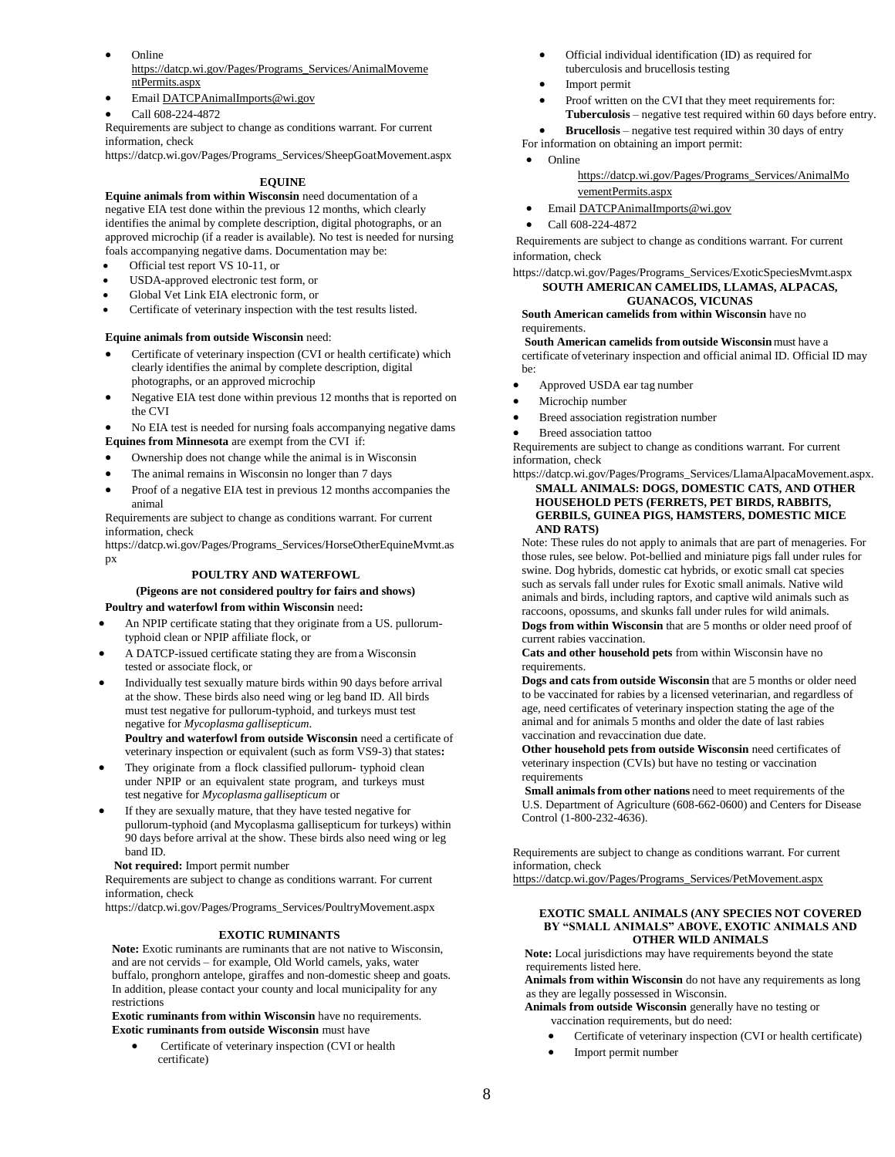- Online [https://datcp.wi.gov/Pages/Programs\\_Services/AnimalMoveme](https://datcp.wi.gov/Pages/Programs_Services/AnimalMovementPermits.aspx) [ntPermits.aspx](https://datcp.wi.gov/Pages/Programs_Services/AnimalMovementPermits.aspx)
- Emai[l DATCPAnimalImports@wi.gov](mailto:DATCPAnimalImports@wi.gov)
- Call 608-224-4872

Requirements are subject to change as conditions warrant. For current information, check

https://datcp.wi.gov/Pages/Programs\_Services/SheepGoatMovement.aspx

### **EQUINE**

**Equine animals from within Wisconsin** need documentation of a negative EIA test done within the previous 12 months, which clearly identifies the animal by complete description, digital photographs, or an approved microchip (if a reader is available). No test is needed for nursing foals accompanying negative dams. Documentation may be:

- Official test report VS 10-11, or
- USDA-approved electronic test form, or
- Global Vet Link EIA electronic form, or
- Certificate of veterinary inspection with the test results listed.

#### **Equine animals from outside Wisconsin** need:

- Certificate of veterinary inspection (CVI or health certificate) which clearly identifies the animal by complete description, digital photographs, or an approved microchip
- Negative EIA test done within previous 12 months that is reported on the CVI

 No EIA test is needed for nursing foals accompanying negative dams **Equines from Minnesota** are exempt from the CVI if:

- Ownership does not change while the animal is in Wisconsin
- The animal remains in Wisconsin no longer than 7 days
- Proof of a negative EIA test in previous 12 months accompanies the animal

Requirements are subject to change as conditions warrant. For current information, check

https://datcp.wi.gov/Pages/Programs\_Services/HorseOtherEquineMvmt.as px

#### **POULTRY AND WATERFOWL**

#### **(Pigeons are not considered poultry for fairs and shows) Poultry and waterfowl from within Wisconsin** need**:**

- An NPIP certificate stating that they originate from a US. pullorumtyphoid clean or NPIP affiliate flock, or
- A DATCP-issued certificate stating they are froma Wisconsin tested or associate flock, or
- Individually test sexually mature birds within 90 days before arrival at the show. These birds also need wing or leg band ID. All birds must test negative for pullorum-typhoid, and turkeys must test negative for *Mycoplasma gallisepticum*. **Poultry and waterfowl from outside Wisconsin** need a certificate of veterinary inspection or equivalent (such as form VS9-3) that states**:**
- They originate from a flock classified pullorum- typhoid clean under NPIP or an equivalent state program, and turkeys must test negative for *Mycoplasma gallisepticum* or
- If they are sexually mature, that they have tested negative for pullorum-typhoid (and Mycoplasma gallisepticum for turkeys) within 90 days before arrival at the show. These birds also need wing or leg band ID.

#### **Not required:** Import permit number

Requirements are subject to change as conditions warrant. For current information, check

https://datcp.wi.gov/Pages/Programs\_Services/PoultryMovement.aspx

#### **EXOTIC RUMINANTS**

**Note:** Exotic ruminants are ruminants that are not native to Wisconsin, and are not cervids – for example, Old World camels, yaks, water buffalo, pronghorn antelope, giraffes and non-domestic sheep and goats. In addition, please contact your county and local municipality for any restrictions

**Exotic ruminants from within Wisconsin** have no requirements. **Exotic ruminants from outside Wisconsin** must have

 Certificate of veterinary inspection (CVI or health certificate)

- Official individual identification (ID) as required for tuberculosis and brucellosis testing
- Import permit
- Proof written on the CVI that they meet requirements for: **Tuberculosis** – negative test required within 60 days before entry.
- **Brucellosis**  negative test required within 30 days of entry
- For information on obtaining an import permit:

### Online

[https://datcp.wi.gov/Pages/Programs\\_Services/AnimalMo](https://datcp.wi.gov/Pages/Programs_Services/AnimalMovementPermits.aspx) [vementPermits.aspx](https://datcp.wi.gov/Pages/Programs_Services/AnimalMovementPermits.aspx)

- Emai[l DATCPAnimalImports@wi.gov](mailto:DATCPAnimalImports@wi.gov)
- Call 608-224-4872

Requirements are subject to change as conditions warrant. For current information, check

https://datcp.wi.gov/Pages/Programs\_Services/ExoticSpeciesMvmt.aspx **SOUTH AMERICAN CAMELIDS, LLAMAS, ALPACAS, GUANACOS, VICUNAS**

**South American camelids from within Wisconsin** have no requirements.

**South American camelids from outside Wisconsin**must have a certificate ofveterinary inspection and official animal ID. Official ID may be:

- Approved USDA ear tag number
- Microchip number
- Breed association registration number
- Breed association tattoo

Requirements are subject to change as conditions warrant. For current information, check

https://datcp.wi.gov/Pages/Programs\_Services/LlamaAlpacaMovement.aspx. **SMALL ANIMALS: DOGS, DOMESTIC CATS, AND OTHER HOUSEHOLD PETS (FERRETS, PET BIRDS, RABBITS, GERBILS, GUINEA PIGS, HAMSTERS, DOMESTIC MICE AND RATS)**

Note: These rules do not apply to animals that are part of menageries. For those rules, see below. Pot-bellied and miniature pigs fall under rules for swine. Dog hybrids, domestic cat hybrids, or exotic small cat species such as servals fall under rules for Exotic small animals. Native wild animals and birds, including raptors, and captive wild animals such as raccoons, opossums, and skunks fall under rules for wild animals. **Dogs from within Wisconsin** that are 5 months or older need proof of current rabies vaccination.

**Cats and other household pets** from within Wisconsin have no requirements.

**Dogs and cats from outside Wisconsin** that are 5 months or older need to be vaccinated for rabies by a licensed veterinarian, and regardless of age, need certificates of veterinary inspection stating the age of the animal and for animals 5 months and older the date of last rabies vaccination and revaccination due date.

**Other household pets from outside Wisconsin** need certificates of veterinary inspection (CVIs) but have no testing or vaccination requirements

**Small animals from other nations** need to meet requirements of the U.S. Department of Agriculture (608-662-0600) and Centers for Disease Control (1-800-232-4636).

Requirements are subject to change as conditions warrant. For current information, check

[https://datcp.wi.gov/Pages/Programs\\_Services/PetMovement.aspx](https://datcp.wi.gov/Pages/Programs_Services/PetMovement.aspx)

#### **EXOTIC SMALL ANIMALS (ANY SPECIES NOT COVERED BY "SMALL ANIMALS" ABOVE, EXOTIC ANIMALS AND OTHER WILD ANIMALS**

**Note:** Local jurisdictions may have requirements beyond the state requirements listed here.

**Animals from within Wisconsin** do not have any requirements as long as they are legally possessed in Wisconsin.

- **Animals from outside Wisconsin** generally have no testing or vaccination requirements, but do need:
	- Certificate of veterinary inspection (CVI or health certificate)
	- Import permit number